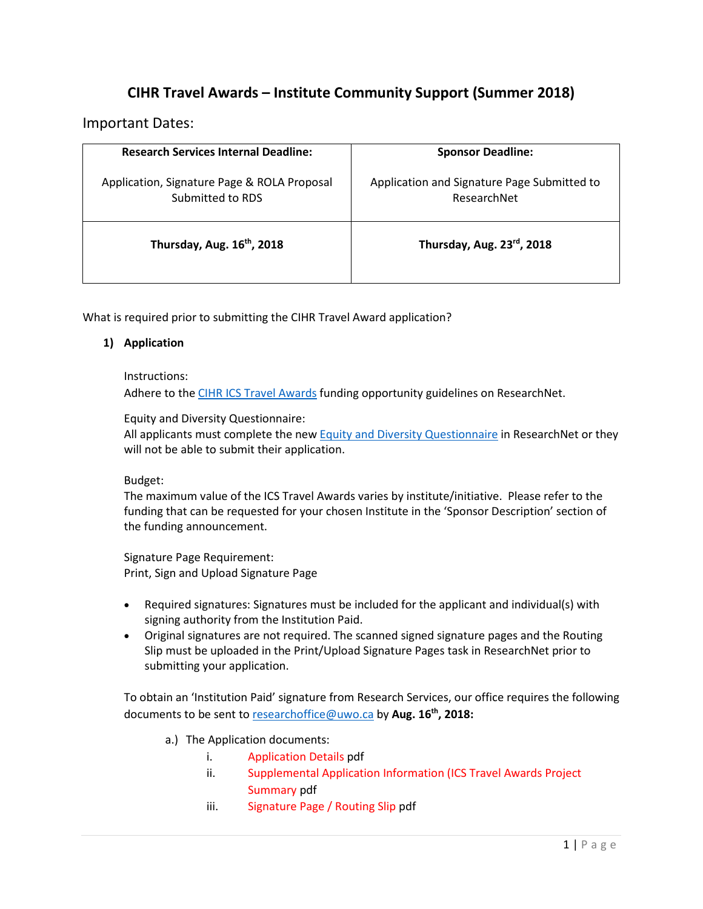# **CIHR Travel Awards – Institute Community Support (Summer 2018)**

### Important Dates:

| <b>Research Services Internal Deadline:</b>                     | <b>Sponsor Deadline:</b>                                   |
|-----------------------------------------------------------------|------------------------------------------------------------|
| Application, Signature Page & ROLA Proposal<br>Submitted to RDS | Application and Signature Page Submitted to<br>ResearchNet |
| Thursday, Aug. 16 <sup>th</sup> , 2018                          | Thursday, Aug. 23rd, 2018                                  |

What is required prior to submitting the CIHR Travel Award application?

#### **1) Application**

#### Instructions:

Adhere to th[e CIHR ICS Travel Awards](https://www.researchnet-recherchenet.ca/rnr16/vwOpprtntyDtls.do?prog=2891&view=currentOpps&org=CIHR&type=EXACT&resultCount=25&sort=program&all=1&masterList=true#partnerdescription) funding opportunity guidelines on ResearchNet.

Equity and Diversity Questionnaire:

All applicants must complete the ne[w Equity and Diversity Questionnaire](http://www.cihr-irsc.gc.ca/e/50959.html) in ResearchNet or they will not be able to submit their application.

#### Budget:

The maximum value of the ICS Travel Awards varies by institute/initiative. Please refer to the funding that can be requested for your chosen Institute in the 'Sponsor Description' section of the funding announcement.

Signature Page Requirement: Print, Sign and Upload Signature Page

- Required signatures: Signatures must be included for the applicant and individual(s) with signing authority from the Institution Paid.
- Original signatures are not required. The scanned signed signature pages and the Routing Slip must be uploaded in the Print/Upload Signature Pages task in ResearchNet prior to submitting your application.

To obtain an 'Institution Paid' signature from Research Services, our office requires the following documents to be sent to [researchoffice@uwo.ca](mailto:researchoffice@uwo.ca) by **Aug. 16th, 2018:**

- a.) The Application documents:
	- i. Application Details pdf
	- ii. Supplemental Application Information (ICS Travel Awards Project Summary pdf
	- iii. Signature Page / Routing Slip pdf